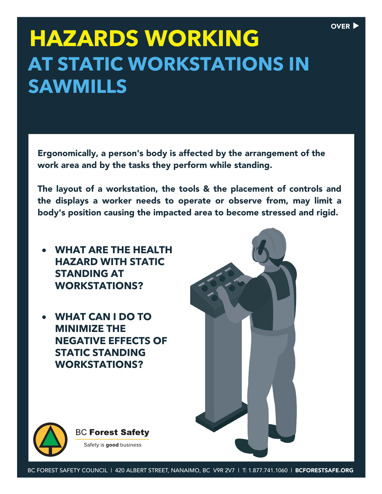## **HAZARDS WORKING AT STATIC WORKSTATIONS IN SAWMILLS**

Ergonomically, a person's body is affected by the arrangement of the work area and by the tasks they perform while standing.

The layout of a workstation, the tools & the placement of controls and the displays a worker needs to operate or observe from, may limit a body's position causing the impacted area to become stressed and rigid.

- **WHAT ARE THE HEALTH HAZARD WITH STATIC STANDING AT WORKSTATIONS?**
- **WHAT CAN I DO TO MINIMIZE THE NEGATIVE EFFECTS OF STATIC STANDING WORKSTATIONS?**